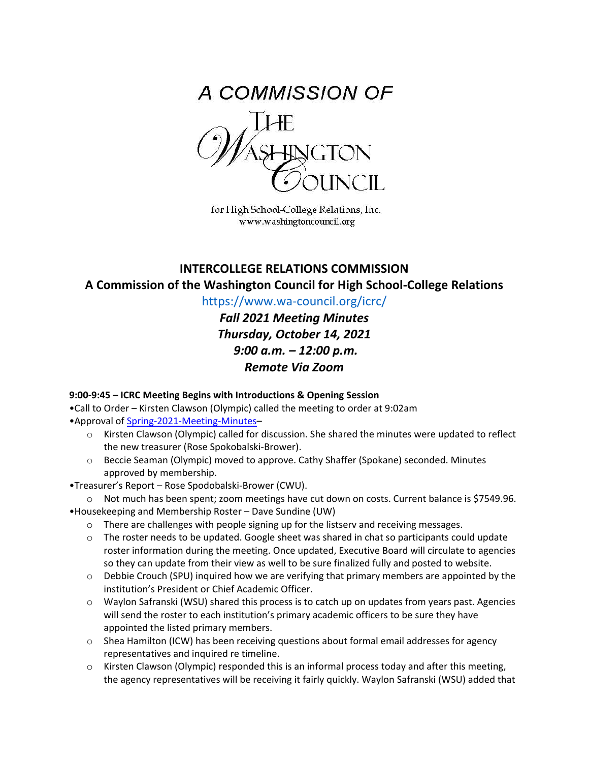

for High School-College Relations, Inc. www.washingtoncouncil.org

# **INTERCOLLEGE RELATIONS COMMISSION A Commission of the Washington Council for High School-College Relations**

https://www.wa-council.org/icrc/

*Fall 2021 Meeting Minutes Thursday, October 14, 2021 9:00 a.m. – 12:00 p.m. Remote Via Zoom*

**9:00-9:45 – ICRC Meeting Begins with Introductions & Opening Session** 

•Call to Order – Kirsten Clawson (Olympic) called the meeting to order at 9:02am •Approval of [Spring-2021-Meeting-Minutes–](https://www.wa-council.org/wp-content/uploads/2021/09/ICRC-Spring-2021-Meeting-Minutes.pdf)

- o Kirsten Clawson (Olympic) called for discussion. She shared the minutes were updated to reflect the new treasurer (Rose Spokobalski-Brower).
- o Beccie Seaman (Olympic) moved to approve. Cathy Shaffer (Spokane) seconded. Minutes approved by membership.
- •Treasurer's Report Rose Spodobalski-Brower (CWU).
- o Not much has been spent; zoom meetings have cut down on costs. Current balance is \$7549.96. •Housekeeping and Membership Roster – Dave Sundine (UW)
	- $\circ$  There are challenges with people signing up for the listserv and receiving messages.
	- $\circ$  The roster needs to be updated. Google sheet was shared in chat so participants could update roster information during the meeting. Once updated, Executive Board will circulate to agencies so they can update from their view as well to be sure finalized fully and posted to website.
	- $\circ$  Debbie Crouch (SPU) inquired how we are verifying that primary members are appointed by the institution's President or Chief Academic Officer.
	- o Waylon Safranski (WSU) shared this process is to catch up on updates from years past. Agencies will send the roster to each institution's primary academic officers to be sure they have appointed the listed primary members.
	- $\circ$  Shea Hamilton (ICW) has been receiving questions about formal email addresses for agency representatives and inquired re timeline.
	- $\circ$  Kirsten Clawson (Olympic) responded this is an informal process today and after this meeting, the agency representatives will be receiving it fairly quickly. Waylon Safranski (WSU) added that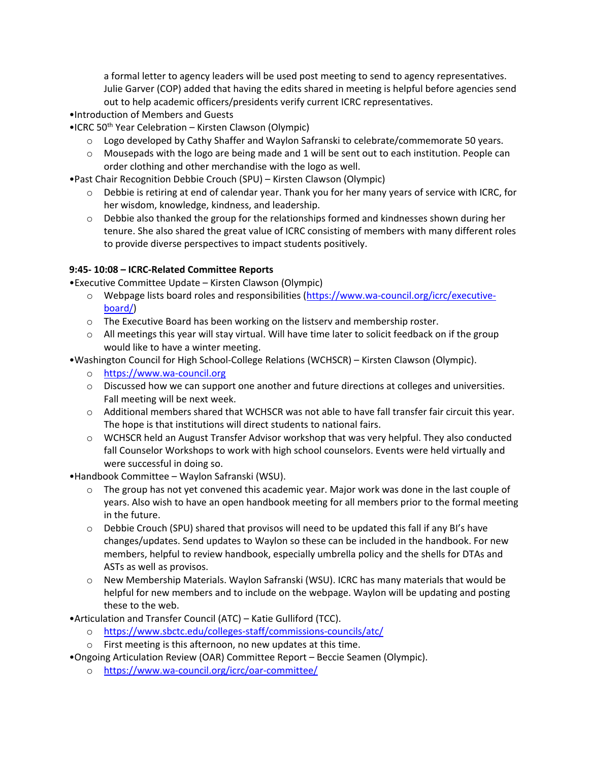a formal letter to agency leaders will be used post meeting to send to agency representatives. Julie Garver (COP) added that having the edits shared in meeting is helpful before agencies send out to help academic officers/presidents verify current ICRC representatives.

- •Introduction of Members and Guests
- $\bullet$ ICRC 50<sup>th</sup> Year Celebration Kirsten Clawson (Olympic)
	- $\circ$  Logo developed by Cathy Shaffer and Waylon Safranski to celebrate/commemorate 50 years.
	- $\circ$  Mousepads with the logo are being made and 1 will be sent out to each institution. People can order clothing and other merchandise with the logo as well.
- •Past Chair Recognition Debbie Crouch (SPU) Kirsten Clawson (Olympic)
	- $\circ$  Debbie is retiring at end of calendar year. Thank you for her many years of service with ICRC, for her wisdom, knowledge, kindness, and leadership.
	- $\circ$  Debbie also thanked the group for the relationships formed and kindnesses shown during her tenure. She also shared the great value of ICRC consisting of members with many different roles to provide diverse perspectives to impact students positively.

### **9:45- 10:08 – ICRC-Related Committee Reports**

•Executive Committee Update – Kirsten Clawson (Olympic)

- o Webpage lists board roles and responsibilities [\(https://www.wa-council.org/icrc/executive](https://www.wa-council.org/icrc/executive-board/)[board/\)](https://www.wa-council.org/icrc/executive-board/)
- o The Executive Board has been working on the listserv and membership roster.
- o All meetings this year will stay virtual. Will have time later to solicit feedback on if the group would like to have a winter meeting.
- •Washington Council for High School-College Relations (WCHSCR) Kirsten Clawson (Olympic).
	- o [https://www.wa-council.org](https://www.wa-council.org/)
	- o Discussed how we can support one another and future directions at colleges and universities. Fall meeting will be next week.
	- o Additional members shared that WCHSCR was not able to have fall transfer fair circuit this year. The hope is that institutions will direct students to national fairs.
	- $\circ$  WCHSCR held an August Transfer Advisor workshop that was very helpful. They also conducted fall Counselor Workshops to work with high school counselors. Events were held virtually and were successful in doing so.
- •Handbook Committee Waylon Safranski (WSU).
	- $\circ$  The group has not yet convened this academic year. Major work was done in the last couple of years. Also wish to have an open handbook meeting for all members prior to the formal meeting in the future.
	- $\circ$  Debbie Crouch (SPU) shared that provisos will need to be updated this fall if any BI's have changes/updates. Send updates to Waylon so these can be included in the handbook. For new members, helpful to review handbook, especially umbrella policy and the shells for DTAs and ASTs as well as provisos.
	- o New Membership Materials. Waylon Safranski (WSU). ICRC has many materials that would be helpful for new members and to include on the webpage. Waylon will be updating and posting these to the web.
- •Articulation and Transfer Council (ATC) Katie Gulliford (TCC).
	- o <https://www.sbctc.edu/colleges-staff/commissions-councils/atc/>
	- o First meeting is this afternoon, no new updates at this time.
- •Ongoing Articulation Review (OAR) Committee Report Beccie Seamen (Olympic).
	- o <https://www.wa-council.org/icrc/oar-committee/>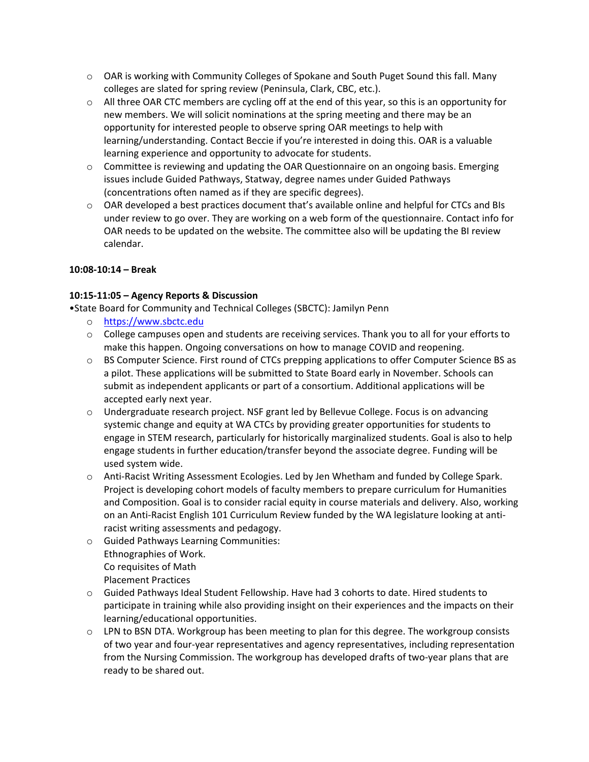- $\circ$  OAR is working with Community Colleges of Spokane and South Puget Sound this fall. Many colleges are slated for spring review (Peninsula, Clark, CBC, etc.).
- $\circ$  All three OAR CTC members are cycling off at the end of this year, so this is an opportunity for new members. We will solicit nominations at the spring meeting and there may be an opportunity for interested people to observe spring OAR meetings to help with learning/understanding. Contact Beccie if you're interested in doing this. OAR is a valuable learning experience and opportunity to advocate for students.
- $\circ$  Committee is reviewing and updating the OAR Questionnaire on an ongoing basis. Emerging issues include Guided Pathways, Statway, degree names under Guided Pathways (concentrations often named as if they are specific degrees).
- $\circ$  OAR developed a best practices document that's available online and helpful for CTCs and BIs under review to go over. They are working on a web form of the questionnaire. Contact info for OAR needs to be updated on the website. The committee also will be updating the BI review calendar.

# **10:08-10:14 – Break**

# **10:15-11:05 – Agency Reports & Discussion**

•State Board for Community and Technical Colleges (SBCTC): Jamilyn Penn

- o [https://www.sbctc.edu](https://www.sbctc.edu/)
- $\circ$  College campuses open and students are receiving services. Thank you to all for your efforts to make this happen. Ongoing conversations on how to manage COVID and reopening.
- o BS Computer Science. First round of CTCs prepping applications to offer Computer Science BS as a pilot. These applications will be submitted to State Board early in November. Schools can submit as independent applicants or part of a consortium. Additional applications will be accepted early next year.
- o Undergraduate research project. NSF grant led by Bellevue College. Focus is on advancing systemic change and equity at WA CTCs by providing greater opportunities for students to engage in STEM research, particularly for historically marginalized students. Goal is also to help engage students in further education/transfer beyond the associate degree. Funding will be used system wide.
- o Anti-Racist Writing Assessment Ecologies. Led by Jen Whetham and funded by College Spark. Project is developing cohort models of faculty members to prepare curriculum for Humanities and Composition. Goal is to consider racial equity in course materials and delivery. Also, working on an Anti-Racist English 101 Curriculum Review funded by the WA legislature looking at antiracist writing assessments and pedagogy.
- o Guided Pathways Learning Communities: Ethnographies of Work. Co requisites of Math Placement Practices
- o Guided Pathways Ideal Student Fellowship. Have had 3 cohorts to date. Hired students to participate in training while also providing insight on their experiences and the impacts on their learning/educational opportunities.
- $\circ$  LPN to BSN DTA. Workgroup has been meeting to plan for this degree. The workgroup consists of two year and four-year representatives and agency representatives, including representation from the Nursing Commission. The workgroup has developed drafts of two-year plans that are ready to be shared out.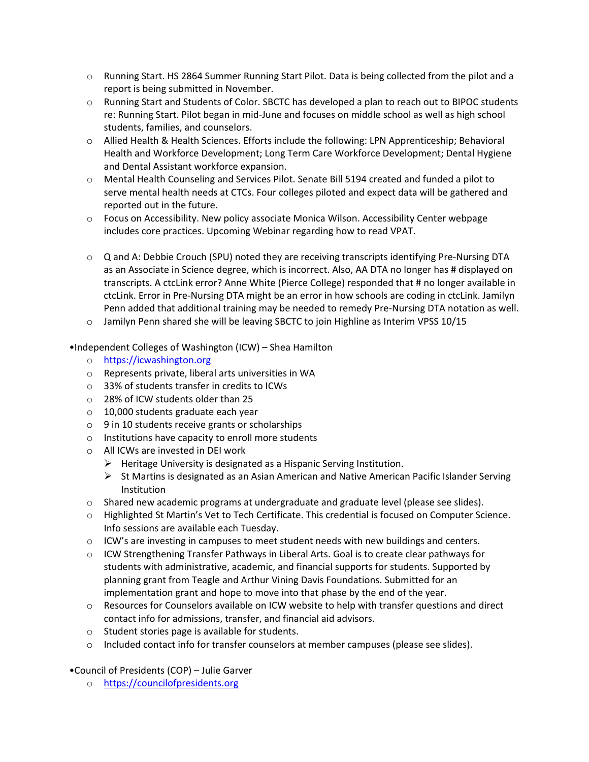- o Running Start. HS 2864 Summer Running Start Pilot. Data is being collected from the pilot and a report is being submitted in November.
- o Running Start and Students of Color. SBCTC has developed a plan to reach out to BIPOC students re: Running Start. Pilot began in mid-June and focuses on middle school as well as high school students, families, and counselors.
- o Allied Health & Health Sciences. Efforts include the following: LPN Apprenticeship; Behavioral Health and Workforce Development; Long Term Care Workforce Development; Dental Hygiene and Dental Assistant workforce expansion.
- o Mental Health Counseling and Services Pilot. Senate Bill 5194 created and funded a pilot to serve mental health needs at CTCs. Four colleges piloted and expect data will be gathered and reported out in the future.
- o Focus on Accessibility. New policy associate Monica Wilson. Accessibility Center webpage includes core practices. Upcoming Webinar regarding how to read VPAT.
- o Q and A: Debbie Crouch (SPU) noted they are receiving transcripts identifying Pre-Nursing DTA as an Associate in Science degree, which is incorrect. Also, AA DTA no longer has # displayed on transcripts. A ctcLink error? Anne White (Pierce College) responded that # no longer available in ctcLink. Error in Pre-Nursing DTA might be an error in how schools are coding in ctcLink. Jamilyn Penn added that additional training may be needed to remedy Pre-Nursing DTA notation as well.
- $\circ$  Jamilyn Penn shared she will be leaving SBCTC to join Highline as Interim VPSS 10/15
- •Independent Colleges of Washington (ICW) Shea Hamilton
	- o [https://icwashington.org](https://icwashington.org/)
	- o Represents private, liberal arts universities in WA
	- o 33% of students transfer in credits to ICWs
	- o 28% of ICW students older than 25
	- o 10,000 students graduate each year
	- o 9 in 10 students receive grants or scholarships
	- o Institutions have capacity to enroll more students
	- o All ICWs are invested in DEI work
		- $\triangleright$  Heritage University is designated as a Hispanic Serving Institution.
		- $\triangleright$  St Martins is designated as an Asian American and Native American Pacific Islander Serving **Institution**
	- o Shared new academic programs at undergraduate and graduate level (please see slides).
	- o Highlighted St Martin's Vet to Tech Certificate. This credential is focused on Computer Science. Info sessions are available each Tuesday.
	- $\circ$  ICW's are investing in campuses to meet student needs with new buildings and centers.
	- o ICW Strengthening Transfer Pathways in Liberal Arts. Goal is to create clear pathways for students with administrative, academic, and financial supports for students. Supported by planning grant from Teagle and Arthur Vining Davis Foundations. Submitted for an implementation grant and hope to move into that phase by the end of the year.
	- $\circ$  Resources for Counselors available on ICW website to help with transfer questions and direct contact info for admissions, transfer, and financial aid advisors.
	- o Student stories page is available for students.
	- $\circ$  Included contact info for transfer counselors at member campuses (please see slides).
- •Council of Presidents (COP) Julie Garver
	- o [https://councilofpresidents.org](https://councilofpresidents.org/)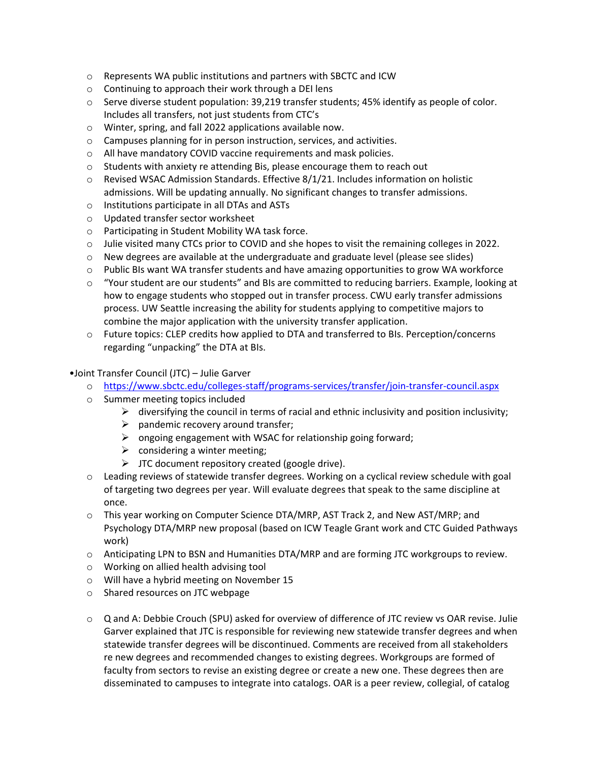- $\circ$  Represents WA public institutions and partners with SBCTC and ICW
- o Continuing to approach their work through a DEI lens
- $\circ$  Serve diverse student population: 39,219 transfer students; 45% identify as people of color. Includes all transfers, not just students from CTC's
- o Winter, spring, and fall 2022 applications available now.
- o Campuses planning for in person instruction, services, and activities.
- o All have mandatory COVID vaccine requirements and mask policies.
- o Students with anxiety re attending Bis, please encourage them to reach out
- $\circ$  Revised WSAC Admission Standards. Effective 8/1/21. Includes information on holistic admissions. Will be updating annually. No significant changes to transfer admissions.
- o Institutions participate in all DTAs and ASTs
- o Updated transfer sector worksheet
- o Participating in Student Mobility WA task force.
- o Julie visited many CTCs prior to COVID and she hopes to visit the remaining colleges in 2022.
- $\circ$  New degrees are available at the undergraduate and graduate level (please see slides)
- o Public BIs want WA transfer students and have amazing opportunities to grow WA workforce
- $\circ$  "Your student are our students" and BIs are committed to reducing barriers. Example, looking at how to engage students who stopped out in transfer process. CWU early transfer admissions process. UW Seattle increasing the ability for students applying to competitive majors to combine the major application with the university transfer application.
- o Future topics: CLEP credits how applied to DTA and transferred to BIs. Perception/concerns regarding "unpacking" the DTA at BIs.
- •Joint Transfer Council (JTC) Julie Garver
	- o <https://www.sbctc.edu/colleges-staff/programs-services/transfer/join-transfer-council.aspx>
	- o Summer meeting topics included
		- $\triangleright$  diversifying the council in terms of racial and ethnic inclusivity and position inclusivity;
		- $\triangleright$  pandemic recovery around transfer;
		- $\triangleright$  ongoing engagement with WSAC for relationship going forward;
		- $\triangleright$  considering a winter meeting;
		- $\triangleright$  JTC document repository created (google drive).
	- o Leading reviews of statewide transfer degrees. Working on a cyclical review schedule with goal of targeting two degrees per year. Will evaluate degrees that speak to the same discipline at once.
	- o This year working on Computer Science DTA/MRP, AST Track 2, and New AST/MRP; and Psychology DTA/MRP new proposal (based on ICW Teagle Grant work and CTC Guided Pathways work)
	- o Anticipating LPN to BSN and Humanities DTA/MRP and are forming JTC workgroups to review.
	- o Working on allied health advising tool
	- o Will have a hybrid meeting on November 15
	- o Shared resources on JTC webpage
	- o Q and A: Debbie Crouch (SPU) asked for overview of difference of JTC review vs OAR revise. Julie Garver explained that JTC is responsible for reviewing new statewide transfer degrees and when statewide transfer degrees will be discontinued. Comments are received from all stakeholders re new degrees and recommended changes to existing degrees. Workgroups are formed of faculty from sectors to revise an existing degree or create a new one. These degrees then are disseminated to campuses to integrate into catalogs. OAR is a peer review, collegial, of catalog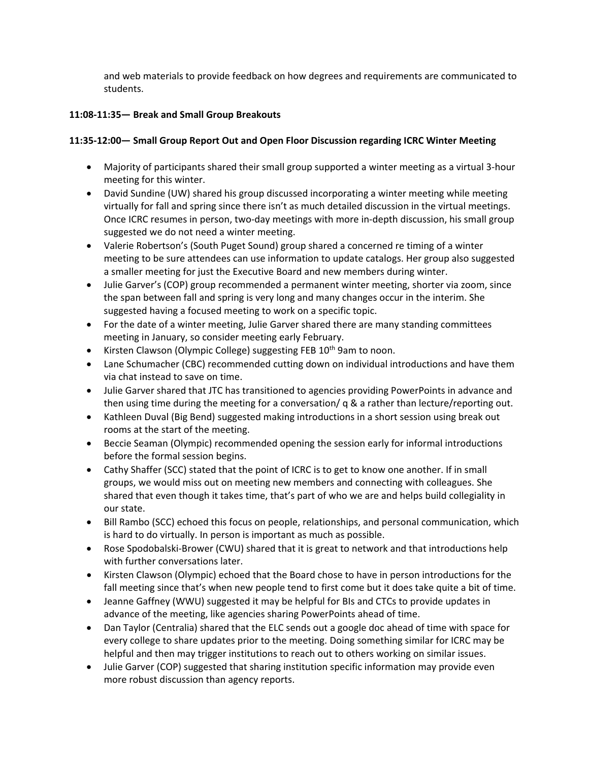and web materials to provide feedback on how degrees and requirements are communicated to students.

# **11:08-11:35— Break and Small Group Breakouts**

# **11:35-12:00— Small Group Report Out and Open Floor Discussion regarding ICRC Winter Meeting**

- Majority of participants shared their small group supported a winter meeting as a virtual 3-hour meeting for this winter.
- David Sundine (UW) shared his group discussed incorporating a winter meeting while meeting virtually for fall and spring since there isn't as much detailed discussion in the virtual meetings. Once ICRC resumes in person, two-day meetings with more in-depth discussion, his small group suggested we do not need a winter meeting.
- Valerie Robertson's (South Puget Sound) group shared a concerned re timing of a winter meeting to be sure attendees can use information to update catalogs. Her group also suggested a smaller meeting for just the Executive Board and new members during winter.
- Julie Garver's (COP) group recommended a permanent winter meeting, shorter via zoom, since the span between fall and spring is very long and many changes occur in the interim. She suggested having a focused meeting to work on a specific topic.
- For the date of a winter meeting, Julie Garver shared there are many standing committees meeting in January, so consider meeting early February.
- Kirsten Clawson (Olympic College) suggesting FEB 10<sup>th</sup> 9am to noon.
- Lane Schumacher (CBC) recommended cutting down on individual introductions and have them via chat instead to save on time.
- Julie Garver shared that JTC has transitioned to agencies providing PowerPoints in advance and then using time during the meeting for a conversation/ q & a rather than lecture/reporting out.
- Kathleen Duval (Big Bend) suggested making introductions in a short session using break out rooms at the start of the meeting.
- Beccie Seaman (Olympic) recommended opening the session early for informal introductions before the formal session begins.
- Cathy Shaffer (SCC) stated that the point of ICRC is to get to know one another. If in small groups, we would miss out on meeting new members and connecting with colleagues. She shared that even though it takes time, that's part of who we are and helps build collegiality in our state.
- Bill Rambo (SCC) echoed this focus on people, relationships, and personal communication, which is hard to do virtually. In person is important as much as possible.
- Rose Spodobalski-Brower (CWU) shared that it is great to network and that introductions help with further conversations later.
- Kirsten Clawson (Olympic) echoed that the Board chose to have in person introductions for the fall meeting since that's when new people tend to first come but it does take quite a bit of time.
- Jeanne Gaffney (WWU) suggested it may be helpful for BIs and CTCs to provide updates in advance of the meeting, like agencies sharing PowerPoints ahead of time.
- Dan Taylor (Centralia) shared that the ELC sends out a google doc ahead of time with space for every college to share updates prior to the meeting. Doing something similar for ICRC may be helpful and then may trigger institutions to reach out to others working on similar issues.
- Julie Garver (COP) suggested that sharing institution specific information may provide even more robust discussion than agency reports.